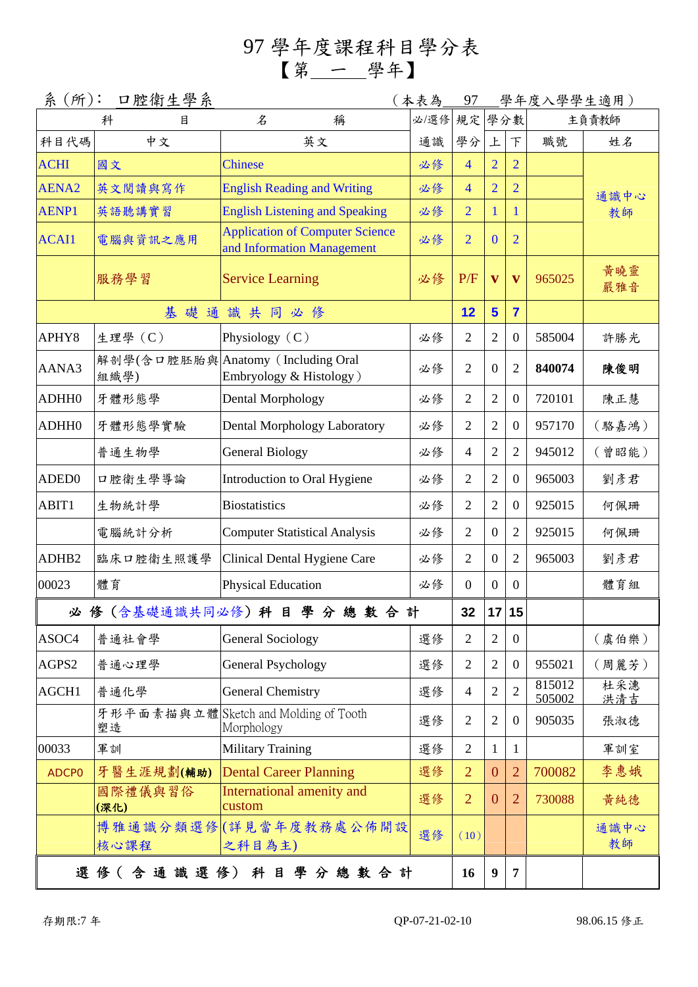## 97 學年度課程科目學分表 【第 一 學年】

| 系(所):             | (本表為            | 97                                                                   |      |                  | 學年度入學學生適用)       |                |                  |            |  |  |
|-------------------|-----------------|----------------------------------------------------------------------|------|------------------|------------------|----------------|------------------|------------|--|--|
|                   | 科<br>目          | 名<br>稱                                                               | 必/選修 | 規定               | 學分數              |                |                  | 主負責教師      |  |  |
| 科目代碼              | 中文              | 英文                                                                   | 通識   | 學分               | 上                | F              | 職號               | 姓名         |  |  |
| <b>ACHI</b>       | 國文              | <b>Chinese</b>                                                       | 必修   | $\overline{4}$   | $\overline{2}$   | $\overline{2}$ |                  |            |  |  |
| AENA <sub>2</sub> | 英文閱讀與寫作         | <b>English Reading and Writing</b>                                   | 必修   | $\overline{4}$   | $\overline{2}$   | $\overline{2}$ |                  | 通識中心       |  |  |
| <b>AENP1</b>      | 英語聽講實習          | <b>English Listening and Speaking</b>                                | 必修   | $\overline{2}$   |                  | 1              |                  | 教師         |  |  |
| <b>ACAI1</b>      | 電腦與資訊之應用        | <b>Application of Computer Science</b><br>and Information Management | 必修   | $\overline{2}$   | $\mathbf{0}$     | $\overline{2}$ |                  |            |  |  |
|                   | 服務學習            | <b>Service Learning</b>                                              | 必修   | P/F              | $\mathbf{V}$     | $\mathbf{V}$   | 965025           | 黃曉靈<br>嚴雅音 |  |  |
| 基礎通識共同必修          |                 |                                                                      |      | 12               | $5\phantom{a}$   | $\overline{7}$ |                  |            |  |  |
| APHY8             | 生理學(C)          | Physiology $(C)$                                                     | 必修   | 2                | $\overline{2}$   | $\overline{0}$ | 585004           | 許勝光        |  |  |
| AANA3             | 組織學)            | 解剖學(含口腔胚胎與 Anatomy (Including Oral<br>Embryology & Histology)        | 必修   | $\overline{2}$   | $\overline{0}$   | $\overline{2}$ | 840074           | 陳俊明        |  |  |
| ADHH0             | 牙體形態學           | Dental Morphology                                                    | 必修   | $\overline{2}$   | $\mathfrak{2}$   | $\mathbf{0}$   | 720101           | 陳正慧        |  |  |
| ADHH0             | 牙體形態學實驗         | Dental Morphology Laboratory                                         | 必修   | $\overline{2}$   | $\overline{2}$   | $\overline{0}$ | 957170           | (駱嘉鴻)      |  |  |
|                   | 普通生物學           | <b>General Biology</b>                                               | 必修   | $\overline{4}$   | $\overline{2}$   | $\overline{2}$ | 945012           | (曾昭能)      |  |  |
| ADED <sub>0</sub> | 口腔衛生學導論         | Introduction to Oral Hygiene                                         | 必修   | $\overline{2}$   | $\overline{2}$   | $\mathbf{0}$   | 965003           | 劉彥君        |  |  |
| ABIT1             | 生物統計學           | <b>Biostatistics</b>                                                 | 必修   | $\overline{2}$   | $\overline{2}$   | $\overline{0}$ | 925015           | 何佩珊        |  |  |
|                   | 電腦統計分析          | <b>Computer Statistical Analysis</b>                                 | 必修   | $\overline{2}$   | $\theta$         | $\overline{2}$ | 925015           | 何佩珊        |  |  |
| ADHB <sub>2</sub> | 臨床口腔衛生照護學       | Clinical Dental Hygiene Care                                         | 必修   | $\overline{2}$   | $\overline{0}$   | $\overline{2}$ | 965003           | 劉彥君        |  |  |
| 00023             | 體育              | <b>Physical Education</b>                                            | 必修   | $\boldsymbol{0}$ | $\overline{0}$   | $\overline{0}$ |                  | 體育組        |  |  |
|                   |                 | 必 修 (含基礎通識共同必修) 科 目 學 分 總 數 合 計                                      |      | 32               | 17               | 15             |                  |            |  |  |
| ASOC4             | 普通社會學           | <b>General Sociology</b>                                             | 選修   | $\overline{2}$   | $\overline{2}$   | $\overline{0}$ |                  | (虞伯樂)      |  |  |
| AGPS2             | 普通心理學           | <b>General Psychology</b>                                            | 選修   | $\overline{2}$   | 2                | $\theta$       | 955021           | (周麗芳)      |  |  |
| AGCH1             | 普通化學            | <b>General Chemistry</b>                                             | 選修   | 4                | 2                | $\overline{2}$ | 815012<br>505002 | 杜采潓<br>洪清吉 |  |  |
|                   | 塑造              | 牙形平面素描與立體 Sketch and Molding of Tooth<br>Morphology                  | 選修   | $\overline{2}$   | 2                | $\overline{0}$ | 905035           | 張淑德        |  |  |
| 00033             | 軍訓              | <b>Military Training</b>                                             | 選修   | $\overline{2}$   | 1                | $\mathbf{1}$   |                  | 軍訓室        |  |  |
| <b>ADCPO</b>      | 牙醫生涯規劃(輔助)      | <b>Dental Career Planning</b>                                        | 選修   | $\overline{2}$   | $\overline{0}$   | $\overline{2}$ | 700082           | 李惠娥        |  |  |
|                   | 國際禮儀與習俗<br>(深化) | <b>International amenity and</b><br>custom                           | 選修   | $\overline{2}$   | $\overline{0}$   | $\overline{2}$ | 730088           | 黄純德        |  |  |
|                   | 核心課程            | 博雅通識分類選修(詳見當年度教務處公佈開設<br>之科目為主)                                      | 選修   | (10)             |                  |                |                  | 通識中心<br>教師 |  |  |
|                   |                 | 選修(含通識選修)科目學分總數合計                                                    |      | 16               | $\boldsymbol{9}$ | $\overline{7}$ |                  |            |  |  |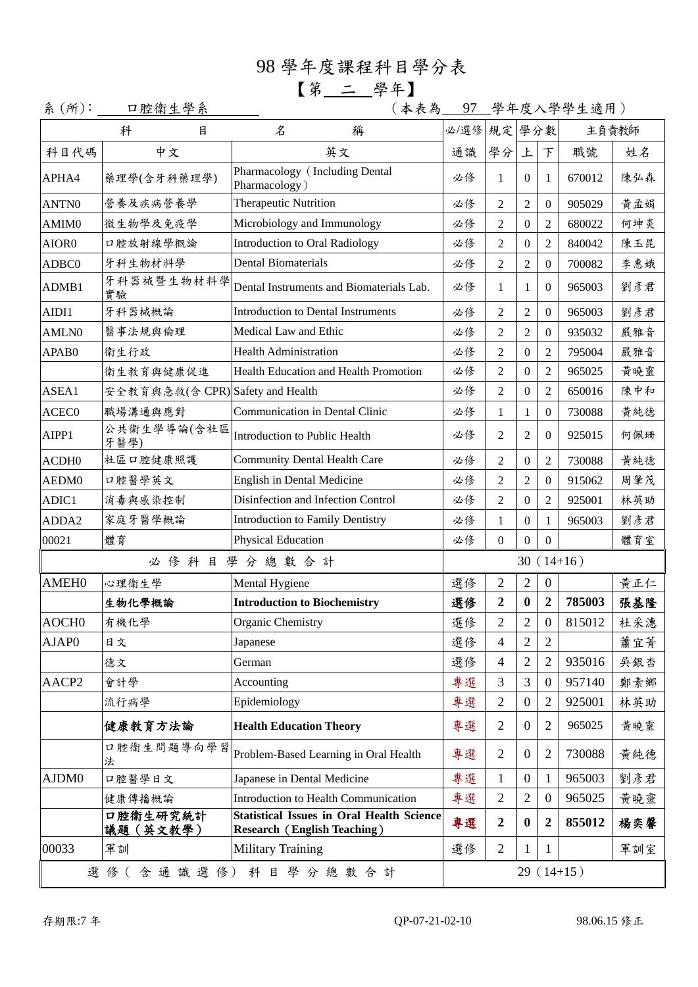## 98 學年度課程科目學分表 【第 二 學年】

系(所): 口腔衛生學系 (本表為 97 學年度入學學生適用)

|                   | 科<br>目                           | 名<br>稱                                                                                 | 規定 學分數<br>主負責教師<br>必/選修 |                          |                  |                  |             |     |
|-------------------|----------------------------------|----------------------------------------------------------------------------------------|-------------------------|--------------------------|------------------|------------------|-------------|-----|
| 科目代碼              | 中文                               | 英文                                                                                     | 通識                      | 學分                       | 上                | 下                | 職號          | 姓名  |
| APHA4             | 藥理學(含牙科藥理學)                      | Pharmacology (Including Dental<br>Pharmacology)                                        | 必修                      | 1                        | $\Omega$         | 1                | 670012      | 陳弘森 |
| ANTN0             | 營養及疾病營養學                         | <b>Therapeutic Nutrition</b>                                                           | 必修                      | $\overline{2}$           | $\overline{2}$   | $\overline{0}$   | 905029      | 黄孟娟 |
| AMIM0             | 微生物學及免疫學                         | Microbiology and Immunology                                                            | 必修                      | $\overline{2}$           | $\mathbf{0}$     | 2                | 680022      | 何坤炎 |
| AIOR0             | 口腔放射線學概論                         | <b>Introduction to Oral Radiology</b>                                                  | 必修                      | $\overline{2}$           | $\mathbf{0}$     | 2                | 840042      | 陳玉昆 |
| ADBC0             | 牙科生物材料學                          | <b>Dental Biomaterials</b><br>必修                                                       |                         | $\overline{2}$           | $\overline{2}$   | $\Omega$         | 700082      | 李惠娥 |
| ADMB1             | 牙科器械暨生物材料學<br>實驗                 | 必修<br>Dental Instruments and Biomaterials Lab.<br>1<br>1<br>0                          |                         | 965003                   | 劉彥君              |                  |             |     |
| AIDI1             | 牙科器械概論                           | <b>Introduction to Dental Instruments</b>                                              | 必修                      | $\overline{2}$           | $\overline{2}$   | $\overline{0}$   | 965003      | 劉彥君 |
| <b>AMLN0</b>      | 醫事法規與倫理                          | Medical Law and Ethic                                                                  | 必修                      | $\overline{2}$           | $\overline{2}$   | $\Omega$         | 935032      | 嚴雅音 |
| APAB0             | 衛生行政                             | <b>Health Administration</b>                                                           | 必修                      | $\overline{2}$           | $\boldsymbol{0}$ | 2                | 795004      | 嚴雅音 |
|                   | 衛生教育與健康促進                        | Health Education and Health Promotion                                                  | 必修                      | $\overline{2}$           | $\boldsymbol{0}$ | 2                | 965025      | 黃曉靈 |
| ASEA1             | 安全教育與急救(含 CPR) Safety and Health |                                                                                        | 必修                      | $\overline{2}$           | $\mathbf{0}$     | 2                | 650016      | 陳中和 |
| ACEC <sub>0</sub> | 職場溝通與應對                          | <b>Communication in Dental Clinic</b>                                                  | 必修                      | 1                        | 1                | $\Omega$         | 730088      | 黃純德 |
| AIPP1             | 公共衛生學導論(含社區<br>牙醫學)              | Introduction to Public Health                                                          | 必修                      | 2                        | $\overline{2}$   | 0                | 925015      | 何佩珊 |
| ACDH <sub>0</sub> | 社區口腔健康照護                         | <b>Community Dental Health Care</b>                                                    | 必修                      | $\overline{2}$           | $\mathbf{0}$     | $\overline{c}$   | 730088      | 黄純德 |
| AEDM0             | 口腔醫學英文                           | English in Dental Medicine                                                             |                         | $\overline{2}$           | $\overline{2}$   | $\Omega$         | 915062      | 周肇茂 |
| ADIC1             | 消毒與感染控制                          | Disinfection and Infection Control                                                     |                         | $\overline{2}$           | $\boldsymbol{0}$ | 2                | 925001      | 林英助 |
| ADDA2             | 家庭牙醫學概論                          | <b>Introduction to Family Dentistry</b>                                                | 必修                      | $\mathbf{1}$             | $\boldsymbol{0}$ | 1                | 965003      | 劉彥君 |
| 00021             | 體育                               | <b>Physical Education</b>                                                              | 必修                      | $\overline{0}$           | $\overline{0}$   | $\overline{0}$   |             | 體育室 |
|                   |                                  | 必修科目學分總數合計                                                                             |                         |                          |                  |                  | $30(14+16)$ |     |
| <b>AMEH0</b>      | 心理衛生學                            | Mental Hygiene                                                                         | 選修                      | $\overline{2}$           | $\overline{2}$   | $\boldsymbol{0}$ |             | 黄正仁 |
|                   | 生物化學概論                           | <b>Introduction to Biochemistry</b>                                                    | 選修                      | $\mathbf 2$              | $\boldsymbol{0}$ | $\boldsymbol{2}$ | 785003      | 張基隆 |
| AOCH <sub>0</sub> | 有機化學                             | Organic Chemistry                                                                      | 選修                      | $\overline{2}$           | $\overline{2}$   | $\boldsymbol{0}$ | 815012      | 杜采潓 |
| AJAP0             | 日文                               | Japanese                                                                               | 選修                      | $\overline{\mathcal{L}}$ | $\overline{c}$   | $\overline{c}$   |             | 蕭宜菁 |
|                   | 德文                               | German                                                                                 | 選修                      | 4                        | $\mathfrak{2}$   | $\overline{2}$   | 935016      | 吳銀杏 |
| AACP2             | 會計學                              | Accounting                                                                             | 專選                      | 3                        | 3                | $\overline{0}$   | 957140      | 鄭素鄉 |
|                   | 流行病學                             | Epidemiology                                                                           | 專選                      | $\overline{2}$           | $\boldsymbol{0}$ | 2                | 925001      | 林英助 |
|                   | 健康教育方法論                          | <b>Health Education Theory</b>                                                         | 專選                      | $\overline{2}$           | $\boldsymbol{0}$ | $\overline{2}$   | 965025      | 黃曉靈 |
|                   | 口腔衛生問題導向學習<br>法                  | Problem-Based Learning in Oral Health                                                  | 專選                      | 2                        | $\boldsymbol{0}$ | 2                | 730088      | 黃純德 |
| AJDM0             | 口腔醫學日文                           | Japanese in Dental Medicine                                                            | 專選                      | $\mathbf{1}$             | $\overline{0}$   | 1                | 965003      | 劉彥君 |
|                   | 健康傳播概論                           | Introduction to Health Communication                                                   | 專選                      | $\overline{2}$           | $\overline{2}$   | $\Omega$         | 965025      | 黃曉靈 |
|                   | 口腔衛生研究統計<br>議題(英文教學)             | <b>Statistical Issues in Oral Health Science</b><br><b>Research (English Teaching)</b> | 專選                      | 2                        | $\boldsymbol{0}$ | $\boldsymbol{2}$ | 855012      | 楊奕馨 |
| 00033             | 軍訓                               | <b>Military Training</b>                                                               | 選修                      | $\overline{2}$           | 1                | 1                |             | 軍訓室 |
|                   |                                  | 選修(含通識選修)科目學分總數合計                                                                      |                         |                          |                  |                  | $29(14+15)$ |     |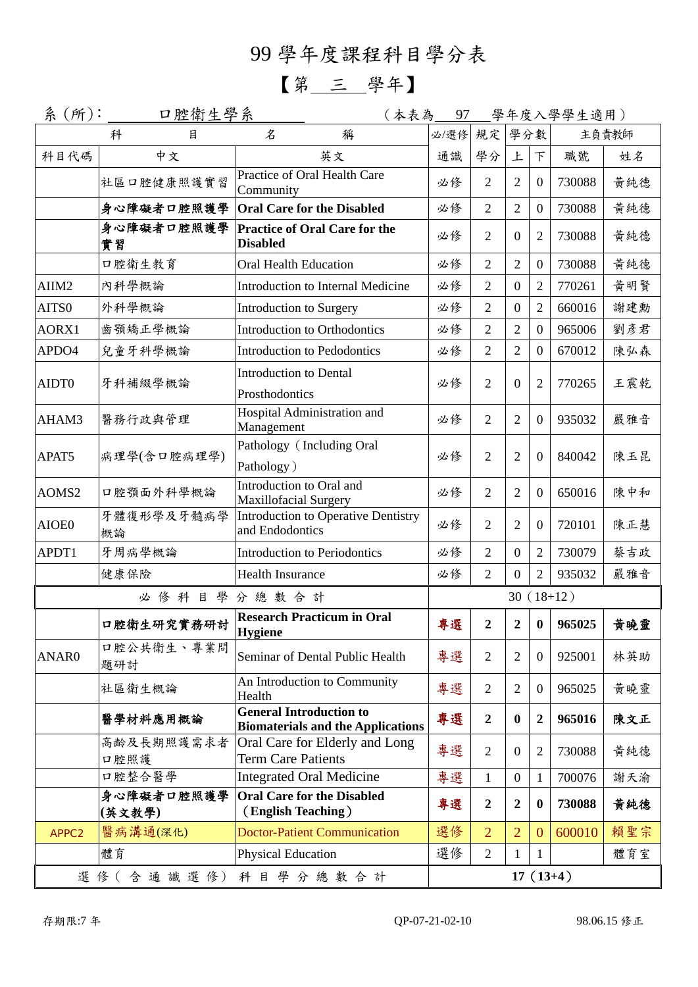99 學年度課程科目學分表

【第 三 學年】

| 系(所):    | <u>口腔衛生學系</u>                   |                                                                            |             |                  |                  |                  | (本表為__97__學年度入學學生適用) |     |
|----------|---------------------------------|----------------------------------------------------------------------------|-------------|------------------|------------------|------------------|----------------------|-----|
|          | 科<br>目                          | 名<br>稱                                                                     | 必/選修        | 規定               | 學分數              |                  | 主負責教師                |     |
| 科目代碼     | 中文                              | 英文                                                                         | 通識          | 學分               | 上                | F                | 職號                   | 姓名  |
|          | 社區口腔健康照護實習                      | Practice of Oral Health Care<br>Community                                  | 必修          | $\overline{2}$   | 2                | $\overline{0}$   | 730088               | 黃純德 |
|          | 身心障礙者口腔照護學                      | <b>Oral Care for the Disabled</b>                                          | 必修          | $\overline{2}$   | $\overline{2}$   | $\overline{0}$   | 730088               | 黃純德 |
|          | 身心障礙者口腔照護學<br>實習                | <b>Practice of Oral Care for the</b><br><b>Disabled</b>                    | 必修          | $\overline{2}$   | $\overline{0}$   | $\overline{2}$   | 730088               | 黃純德 |
|          | 口腔衛生教育                          | <b>Oral Health Education</b>                                               | 必修          | $\overline{2}$   | $\overline{2}$   | $\mathbf{0}$     | 730088               | 黃純德 |
| AIIM2    | 內科學概論                           | 必修<br>Introduction to Internal Medicine                                    |             | $\overline{2}$   | $\overline{0}$   | $\overline{2}$   | 770261               | 黃明賢 |
| AITS0    | 外科學概論                           | Introduction to Surgery                                                    | 必修          | $\overline{2}$   | $\overline{0}$   | $\overline{2}$   | 660016               | 謝建勳 |
| AORX1    | 齒顎矯正學概論                         | Introduction to Orthodontics                                               | 必修          | $\overline{2}$   | $\overline{2}$   | $\overline{0}$   | 965006               | 劉彥君 |
| APDO4    | 兒童牙科學概論                         | Introduction to Pedodontics                                                | 必修          | $\overline{2}$   | $\overline{2}$   | $\mathbf{0}$     | 670012               | 陳弘森 |
| AIDT0    | 牙科補綴學概論                         | <b>Introduction to Dental</b><br>Prosthodontics                            | 必修          | $\overline{2}$   | $\overline{0}$   | $\overline{2}$   | 770265               | 王震乾 |
| AHAM3    | 醫務行政與管理                         | Hospital Administration and<br>Management                                  | 必修          | $\overline{2}$   | $\overline{2}$   | $\overline{0}$   | 935032               | 嚴雅音 |
| APAT5    | 病理學(含口腔病理學)                     | Pathology (Including Oral<br>Pathology)                                    | 必修          | $\overline{2}$   | $\overline{2}$   | $\overline{0}$   | 840042               | 陳玉昆 |
| AOMS2    | 口腔顎面外科學概論                       | Introduction to Oral and<br><b>Maxillofacial Surgery</b>                   | 必修          | $\overline{2}$   | $\overline{2}$   | $\overline{0}$   | 650016               | 陳中和 |
| AIOE0    | 牙體復形學及牙髓病學<br>概論                | Introduction to Operative Dentistry<br>and Endodontics                     | 必修          | $\overline{2}$   | $\overline{2}$   | $\overline{0}$   | 720101               | 陳正慧 |
| APDT1    | 牙周病學概論                          | Introduction to Periodontics                                               | 必修          | $\overline{2}$   | $\boldsymbol{0}$ | $\overline{2}$   | 730079               | 蔡吉政 |
|          | 健康保險<br><b>Health Insurance</b> |                                                                            | 必修          | $\overline{2}$   | $\overline{0}$   | $\overline{2}$   | 935032               | 嚴雅音 |
|          | 必修科目學分總數合計                      |                                                                            | $30(18+12)$ |                  |                  |                  |                      |     |
|          | 口腔衛生研究實務研討                      | <b>Research Practicum in Oral</b><br>Hygiene                               | 專選          | $\boldsymbol{2}$ | $\boldsymbol{2}$ | $\mathbf{0}$     | 965025               | 黃曉靈 |
| ANAR0    | 口腔公共衛生、專業問<br>題研討               | Seminar of Dental Public Health                                            | 專選          | $\overline{2}$   | $\overline{2}$   | $\boldsymbol{0}$ | 925001               | 林英助 |
|          | 社區衛生概論                          | An Introduction to Community<br>Health                                     | 專選          | $\overline{2}$   | 2                | $\overline{0}$   | 965025               | 黃曉靈 |
| 醫學材料應用概論 |                                 | <b>General Introduction to</b><br><b>Biomaterials and the Applications</b> | 專選          | $\boldsymbol{2}$ | $\bf{0}$         | $\boldsymbol{2}$ | 965016               | 陳文正 |
|          | 高齡及長期照護需求者<br>口腔照護              | Oral Care for Elderly and Long<br><b>Term Care Patients</b>                | 專選          | $\overline{2}$   | $\overline{0}$   | $\overline{2}$   | 730088               | 黃純德 |
|          | 口腔整合醫學                          | <b>Integrated Oral Medicine</b>                                            | 專選          | $\mathbf{1}$     | $\boldsymbol{0}$ | $\mathbf{1}$     | 700076               | 謝天渝 |
|          | 身心障礙者口腔照護學<br>(英文教學)            | <b>Oral Care for the Disabled</b><br>(English Teaching)                    | 專選          | $\boldsymbol{2}$ | $\overline{2}$   | $\boldsymbol{0}$ | 730088               | 黄純德 |
| APPC2    | 醫病溝通(深化)                        | <b>Doctor-Patient Communication</b>                                        | 選修          | $\overline{2}$   | $\overline{2}$   | $\mathbf{0}$     | 600010               | 賴聖宗 |
|          | 體育                              | Physical Education                                                         | 選修          | $\overline{2}$   | 1                | $\mathbf{1}$     |                      | 體育室 |
|          |                                 | 選修(含通識選修)科目學分總數合計                                                          |             |                  |                  |                  | $17(13+4)$           |     |